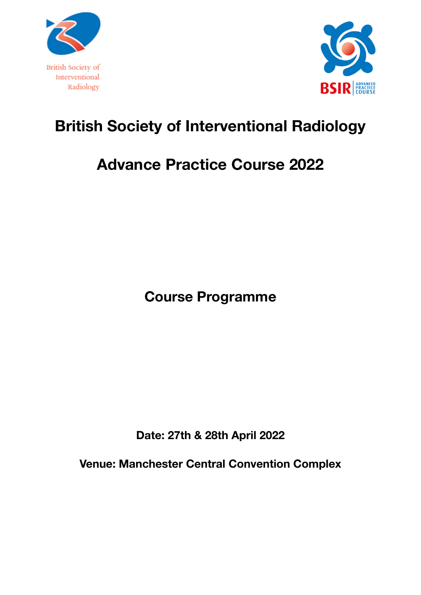



# **British Society of Interventional Radiology**

## **Advance Practice Course 2022**

**Course Programme** 

**Date: 27th & 28th April 2022** 

**Venue: Manchester Central Convention Complex**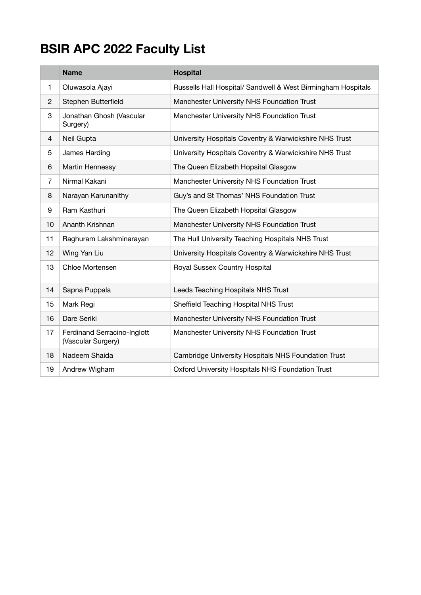### **BSIR APC 2022 Faculty List**

|                | <b>Name</b>                                       | <b>Hospital</b>                                              |
|----------------|---------------------------------------------------|--------------------------------------------------------------|
| 1              | Oluwasola Ajayi                                   | Russells Hall Hospital/ Sandwell & West Birmingham Hospitals |
| $\overline{2}$ | Stephen Butterfield                               | Manchester University NHS Foundation Trust                   |
| 3              | Jonathan Ghosh (Vascular<br>Surgery)              | Manchester University NHS Foundation Trust                   |
| 4              | Neil Gupta                                        | University Hospitals Coventry & Warwickshire NHS Trust       |
| 5              | James Harding                                     | University Hospitals Coventry & Warwickshire NHS Trust       |
| 6              | Martin Hennessy                                   | The Queen Elizabeth Hopsital Glasgow                         |
| 7              | Nirmal Kakani                                     | Manchester University NHS Foundation Trust                   |
| 8              | Narayan Karunanithy                               | Guy's and St Thomas' NHS Foundation Trust                    |
| 9              | Ram Kasthuri                                      | The Queen Elizabeth Hopsital Glasgow                         |
| 10             | Ananth Krishnan                                   | Manchester University NHS Foundation Trust                   |
| 11             | Raghuram Lakshminarayan                           | The Hull University Teaching Hospitals NHS Trust             |
| 12             | Wing Yan Liu                                      | University Hospitals Coventry & Warwickshire NHS Trust       |
| 13             | Chloe Mortensen                                   | Royal Sussex Country Hospital                                |
| 14             | Sapna Puppala                                     | Leeds Teaching Hospitals NHS Trust                           |
| 15             | Mark Regi                                         | Sheffield Teaching Hospital NHS Trust                        |
| 16             | Dare Seriki                                       | Manchester University NHS Foundation Trust                   |
| 17             | Ferdinand Serracino-Inglott<br>(Vascular Surgery) | Manchester University NHS Foundation Trust                   |
| 18             | Nadeem Shaida                                     | Cambridge University Hospitals NHS Foundation Trust          |
| 19             | Andrew Wigham                                     | Oxford University Hospitals NHS Foundation Trust             |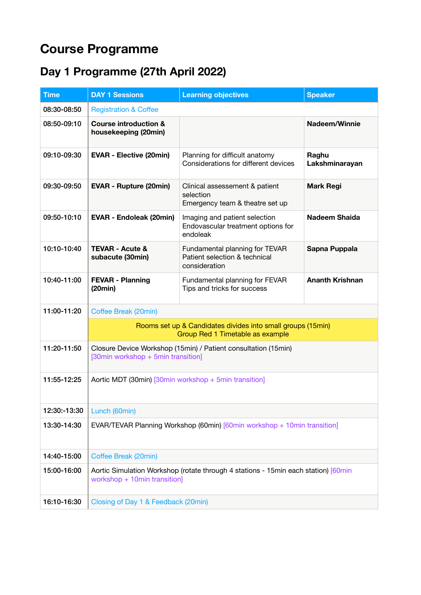### **Course Programme**

#### **Day 1 Programme (27th April 2022)**

| <b>Time</b>  | <b>DAY 1 Sessions</b>                                                                                               | <b>Learning objectives</b>                                                       | <b>Speaker</b>          |  |  |
|--------------|---------------------------------------------------------------------------------------------------------------------|----------------------------------------------------------------------------------|-------------------------|--|--|
| 08:30-08:50  | <b>Registration &amp; Coffee</b>                                                                                    |                                                                                  |                         |  |  |
| 08:50-09:10  | <b>Course introduction &amp;</b><br>housekeeping (20min)                                                            |                                                                                  | Nadeem/Winnie           |  |  |
| 09:10-09:30  | <b>EVAR - Elective (20min)</b>                                                                                      | Planning for difficult anatomy<br>Considerations for different devices           | Raghu<br>Lakshminarayan |  |  |
| 09:30-09:50  | <b>EVAR - Rupture (20min)</b>                                                                                       | Clinical assessement & patient<br>selection<br>Emergency team & theatre set up   | <b>Mark Regi</b>        |  |  |
| 09:50-10:10  | <b>EVAR - Endoleak (20min)</b>                                                                                      | Imaging and patient selection<br>Endovascular treatment options for<br>endoleak  | <b>Nadeem Shaida</b>    |  |  |
| 10:10-10:40  | <b>TEVAR - Acute &amp;</b><br>subacute (30min)                                                                      | Fundamental planning for TEVAR<br>Patient selection & technical<br>consideration | Sapna Puppala           |  |  |
| 10:40-11:00  | <b>FEVAR - Planning</b><br>(20min)                                                                                  | Fundamental planning for FEVAR<br>Tips and tricks for success                    | <b>Ananth Krishnan</b>  |  |  |
| 11:00-11:20  | Coffee Break (20min)                                                                                                |                                                                                  |                         |  |  |
|              | Rooms set up & Candidates divides into small groups (15min)<br>Group Red 1 Timetable as example                     |                                                                                  |                         |  |  |
| 11:20-11:50  | Closure Device Workshop (15min) / Patient consultation (15min)<br>[30min workshop + 5min transition]                |                                                                                  |                         |  |  |
| 11:55-12:25  | Aortic MDT (30min) [30min workshop + 5min transition]                                                               |                                                                                  |                         |  |  |
| 12:30:-13:30 | Lunch (60min)                                                                                                       |                                                                                  |                         |  |  |
| 13:30-14:30  | EVAR/TEVAR Planning Workshop (60min) [60min workshop + 10min transition]                                            |                                                                                  |                         |  |  |
| 14:40-15:00  | Coffee Break (20min)                                                                                                |                                                                                  |                         |  |  |
| 15:00-16:00  | Aortic Simulation Workshop (rotate through 4 stations - 15min each station) [60min]<br>workshop + 10min transition] |                                                                                  |                         |  |  |
| 16:10-16:30  | Closing of Day 1 & Feedback (20min)                                                                                 |                                                                                  |                         |  |  |